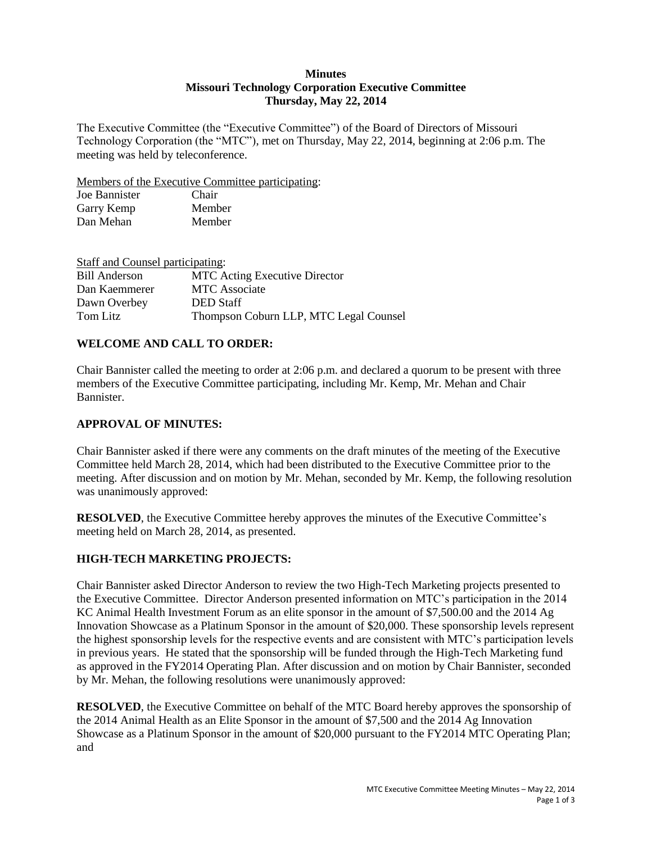### **Minutes Missouri Technology Corporation Executive Committee Thursday, May 22, 2014**

The Executive Committee (the "Executive Committee") of the Board of Directors of Missouri Technology Corporation (the "MTC"), met on Thursday, May 22, 2014, beginning at 2:06 p.m. The meeting was held by teleconference.

Members of the Executive Committee participating:

| Joe Bannister | Chair  |
|---------------|--------|
| Garry Kemp    | Member |
| Dan Mehan     | Member |

| Staff and Counsel participating: |                                        |
|----------------------------------|----------------------------------------|
| Bill Anderson                    | <b>MTC</b> Acting Executive Director   |
| Dan Kaemmerer                    | <b>MTC</b> Associate                   |
| Dawn Overbey                     | <b>DED</b> Staff                       |
| Tom Litz                         | Thompson Coburn LLP, MTC Legal Counsel |

### **WELCOME AND CALL TO ORDER:**

Chair Bannister called the meeting to order at 2:06 p.m. and declared a quorum to be present with three members of the Executive Committee participating, including Mr. Kemp, Mr. Mehan and Chair Bannister.

### **APPROVAL OF MINUTES:**

Chair Bannister asked if there were any comments on the draft minutes of the meeting of the Executive Committee held March 28, 2014, which had been distributed to the Executive Committee prior to the meeting. After discussion and on motion by Mr. Mehan, seconded by Mr. Kemp, the following resolution was unanimously approved:

**RESOLVED**, the Executive Committee hereby approves the minutes of the Executive Committee's meeting held on March 28, 2014, as presented.

## **HIGH-TECH MARKETING PROJECTS:**

Chair Bannister asked Director Anderson to review the two High-Tech Marketing projects presented to the Executive Committee. Director Anderson presented information on MTC's participation in the 2014 KC Animal Health Investment Forum as an elite sponsor in the amount of \$7,500.00 and the 2014 Ag Innovation Showcase as a Platinum Sponsor in the amount of \$20,000. These sponsorship levels represent the highest sponsorship levels for the respective events and are consistent with MTC's participation levels in previous years. He stated that the sponsorship will be funded through the High-Tech Marketing fund as approved in the FY2014 Operating Plan. After discussion and on motion by Chair Bannister, seconded by Mr. Mehan, the following resolutions were unanimously approved:

**RESOLVED**, the Executive Committee on behalf of the MTC Board hereby approves the sponsorship of the 2014 Animal Health as an Elite Sponsor in the amount of \$7,500 and the 2014 Ag Innovation Showcase as a Platinum Sponsor in the amount of \$20,000 pursuant to the FY2014 MTC Operating Plan; and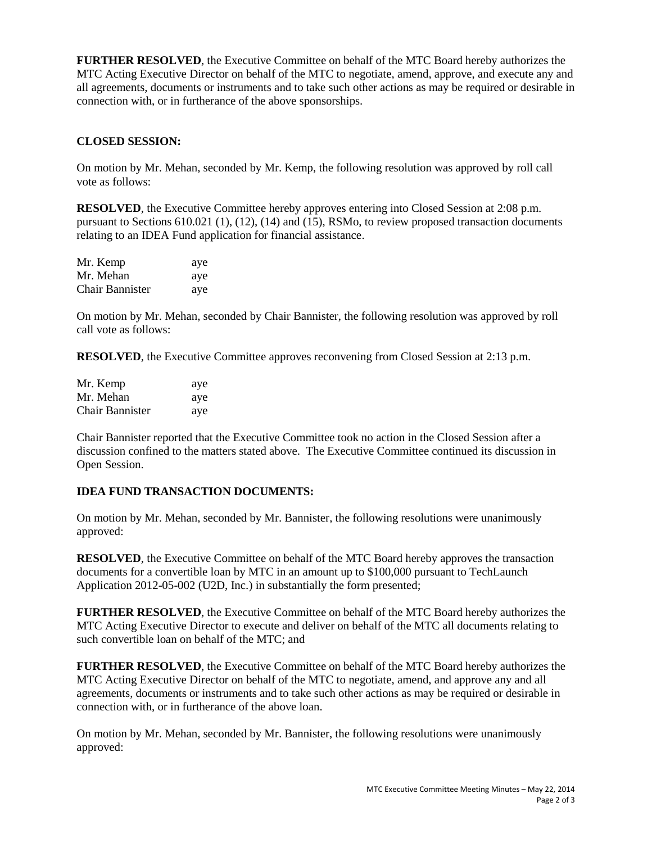**FURTHER RESOLVED**, the Executive Committee on behalf of the MTC Board hereby authorizes the MTC Acting Executive Director on behalf of the MTC to negotiate, amend, approve, and execute any and all agreements, documents or instruments and to take such other actions as may be required or desirable in connection with, or in furtherance of the above sponsorships.

# **CLOSED SESSION:**

On motion by Mr. Mehan, seconded by Mr. Kemp, the following resolution was approved by roll call vote as follows:

**RESOLVED**, the Executive Committee hereby approves entering into Closed Session at 2:08 p.m. pursuant to Sections 610.021 (1), (12), (14) and (15), RSMo, to review proposed transaction documents relating to an IDEA Fund application for financial assistance.

| Mr. Kemp               | aye |
|------------------------|-----|
| Mr. Mehan              | ave |
| <b>Chair Bannister</b> | ave |

On motion by Mr. Mehan, seconded by Chair Bannister, the following resolution was approved by roll call vote as follows:

**RESOLVED**, the Executive Committee approves reconvening from Closed Session at 2:13 p.m.

| Mr. Kemp               | aye |
|------------------------|-----|
| Mr. Mehan              | aye |
| <b>Chair Bannister</b> | aye |

Chair Bannister reported that the Executive Committee took no action in the Closed Session after a discussion confined to the matters stated above. The Executive Committee continued its discussion in Open Session.

## **IDEA FUND TRANSACTION DOCUMENTS:**

On motion by Mr. Mehan, seconded by Mr. Bannister, the following resolutions were unanimously approved:

**RESOLVED**, the Executive Committee on behalf of the MTC Board hereby approves the transaction documents for a convertible loan by MTC in an amount up to \$100,000 pursuant to TechLaunch Application 2012-05-002 (U2D, Inc.) in substantially the form presented;

**FURTHER RESOLVED**, the Executive Committee on behalf of the MTC Board hereby authorizes the MTC Acting Executive Director to execute and deliver on behalf of the MTC all documents relating to such convertible loan on behalf of the MTC; and

**FURTHER RESOLVED**, the Executive Committee on behalf of the MTC Board hereby authorizes the MTC Acting Executive Director on behalf of the MTC to negotiate, amend, and approve any and all agreements, documents or instruments and to take such other actions as may be required or desirable in connection with, or in furtherance of the above loan.

On motion by Mr. Mehan, seconded by Mr. Bannister, the following resolutions were unanimously approved: